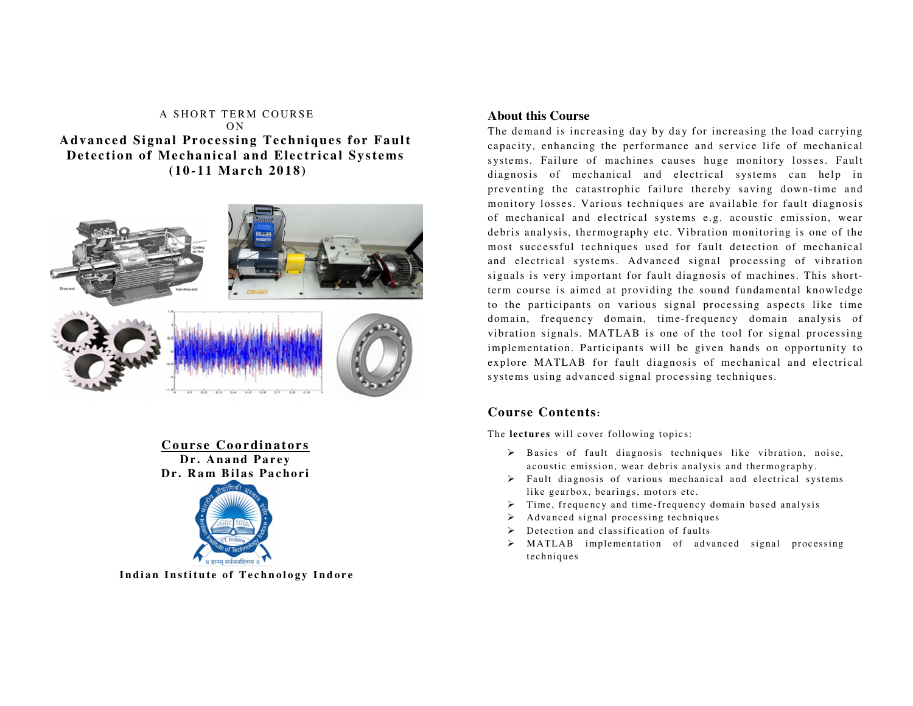## A SHORT TERM COURSE  $\bigcap N$ **Advanced Signal Processing Techniques for Fault** Detection of Mechanical and Electrical Systems  **(10 -11 M ar <sup>c</sup> h 20 1 8 )**



**C <sup>o</sup> ur se Co <sup>o</sup> <sup>r</sup> di na to <sup>r</sup> <sup>s</sup>** Dr. Anand Parev Dr. Ram Bilas Pachori



Indian Institute of Technology Indore

## **About this Course**

The demand is increasing day by day for increasing the load carrying capacity, enhancing the performance and service life of mechanical systems. Failure of machines causes huge monitory losses. Fault diagnosis of mechanical and electrical systems can help in preventing the catastrophic failure thereby saving down-time and monitory losses. Various techniques are available for fault diagnosis of mechanical and electrical systems e.g. acoustic emission, wear debris analysis, thermography etc. Vibration monitoring is one of the most successful techniques used for fault detection of mechanical and electrical systems. Advanced signal processing of vibration signals is very important for fault diagnosis of machines. This shortterm course is aimed at providing the sound fundamental knowledge to the participants on various signal processing aspects like time domain, frequency domain, time-frequency domain analysis of vibration signals. MATLAB is one of the tool for signal processing implementation. Participants will be given hands on opportunity to explore MATLAB for fault diagnosis of mechanical and electrical systems using advanced signal processing techniques.

# **Course Contents:**

The **lectures** will cover following topics:

- <sup>B</sup> asics of fault diagnosis techniques like vibration, noise, acoustic emission, wear debris analysis and thermography.
- $\triangleright$  Fault diagnosis of various mechanical and electrical systems like gearbox, bearings, motors etc.
- $\triangleright$  Time, frequency and time-frequency domain based analysis
- $\triangleright$  Advanced signal processing techniques
- $\triangleright$  Detection and classification of faults
- MATLAB implementation of advanced signal processing techniques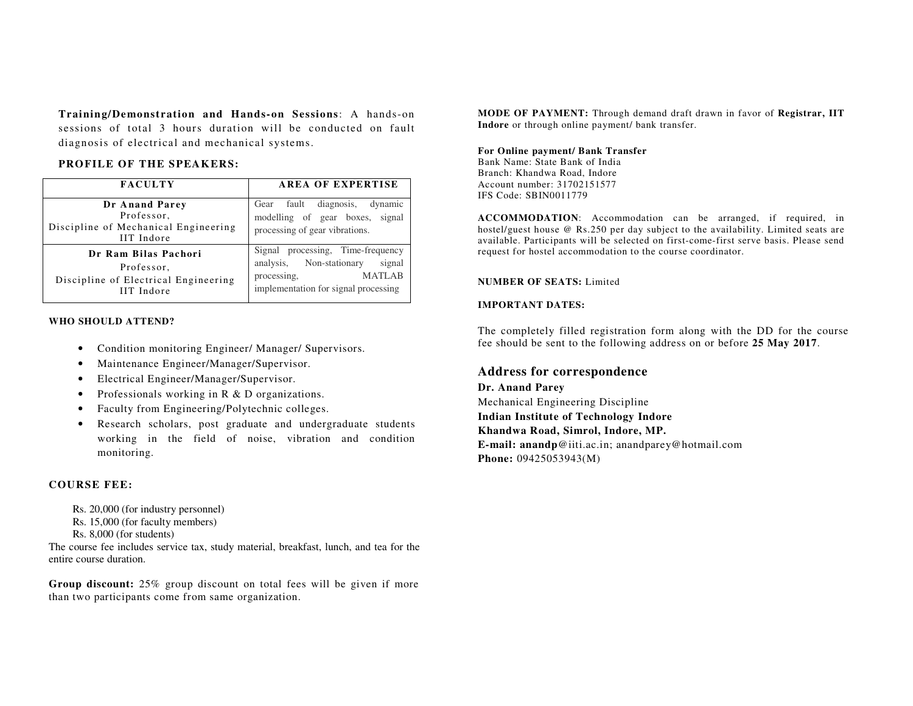**Training/Demonstration and Hands-on Sessions**: A hands-on sessions of total 3 hours duration will be conducted on fault diagnosis of electrical and mechanical systems.

### **PROFILE OF THE SPEAKERS:**

| <b>FACULTY</b>                                                                                  | <b>AREA OF EXPERTISE</b>                                                                                                                           |
|-------------------------------------------------------------------------------------------------|----------------------------------------------------------------------------------------------------------------------------------------------------|
| Dr Anand Parey<br>Professor,<br>Discipline of Mechanical Engineering<br>IIT Indore              | Gear fault diagnosis,<br>dynamic<br>modelling of gear boxes, signal<br>processing of gear vibrations.                                              |
| Dr Ram Bilas Pachori<br>Professor,<br>Discipline of Electrical Engineering<br><b>IIT</b> Indore | processing, Time-frequency<br>Signal<br>analysis, Non-stationary<br>signal<br><b>MATLAB</b><br>processing,<br>implementation for signal processing |

#### **WHO SHOULD ATTEND?**

- Condition monitoring Engineer/ Manager/ Supervisors.
- $\bullet$ Maintenance Engineer/Manager/Supervisor.
- •Electrical Engineer/Manager/Supervisor.
- $\bullet$ Professionals working in R & D organizations.
- •Faculty from Engineering/Polytechnic colleges.
- $\bullet$  Research scholars, post graduate and undergraduate students working in the field of noise, vibration and condition monitoring.

### **COURSE FEE:**

- Rs. 20,000 (for industry personnel)
- Rs. 15,000 (for faculty members)
- Rs. 8,000 (for students)

 The course fee includes service tax, study material, breakfast, lunch, and tea for the entire course duration.

**Group discount:** 25% group discount on total fees will be given if more than two participants come from same organization.

**MODE OF PAYMENT:** Through demand draft drawn in favor of **Registrar, IIT Indore** or through online payment/ bank transfer.

## **For Online payment/ Bank Transfer**

Bank Name: State Bank of India Branch: Khandwa Road, Indore Account number: 31702151577 IFS Code: SBIN0011779

**ACCOMMODATION**: Accommodation can be arranged, if required, in hostel/guest house @ Rs.250 per day subject to the availability. Limited seats are available. Participants will be selected on first-come-first serve basis. Please send request for hostel accommodation to the course coordinator.

#### **NUMBER OF SEATS:** Limited

### **IMPORTANT DATES:**

The completely filled registration form along with the DD for the course fee should be sent to the following address on or before **25 May 2017**.

## **Address for correspondence**

**Dr. Anand Parey** Mechanical Engineering Discipline **Indian Institute of Technology Indore Khandwa Road, Simrol, Indore, MP. E-mail: anandp**@iiti.ac.in; anandparey@hotmail.com **Phone:** 09425053943(M)